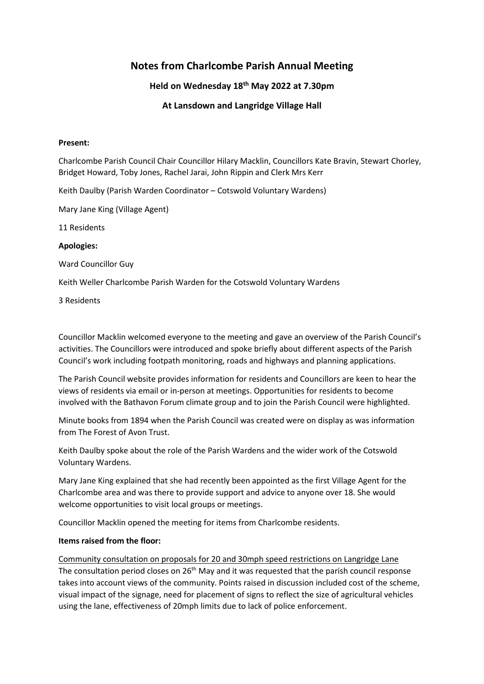# **Notes from Charlcombe Parish Annual Meeting**

# **Held on Wednesday 18th May 2022 at 7.30pm**

# **At Lansdown and Langridge Village Hall**

#### **Present:**

Charlcombe Parish Council Chair Councillor Hilary Macklin, Councillors Kate Bravin, Stewart Chorley, Bridget Howard, Toby Jones, Rachel Jarai, John Rippin and Clerk Mrs Kerr

Keith Daulby (Parish Warden Coordinator – Cotswold Voluntary Wardens)

Mary Jane King (Village Agent)

11 Residents

## **Apologies:**

Ward Councillor Guy

Keith Weller Charlcombe Parish Warden for the Cotswold Voluntary Wardens

3 Residents

Councillor Macklin welcomed everyone to the meeting and gave an overview of the Parish Council's activities. The Councillors were introduced and spoke briefly about different aspects of the Parish Council's work including footpath monitoring, roads and highways and planning applications.

The Parish Council website provides information for residents and Councillors are keen to hear the views of residents via email or in-person at meetings. Opportunities for residents to become involved with the Bathavon Forum climate group and to join the Parish Council were highlighted.

Minute books from 1894 when the Parish Council was created were on display as was information from The Forest of Avon Trust.

Keith Daulby spoke about the role of the Parish Wardens and the wider work of the Cotswold Voluntary Wardens.

Mary Jane King explained that she had recently been appointed as the first Village Agent for the Charlcombe area and was there to provide support and advice to anyone over 18. She would welcome opportunities to visit local groups or meetings.

Councillor Macklin opened the meeting for items from Charlcombe residents.

## **Items raised from the floor:**

Community consultation on proposals for 20 and 30mph speed restrictions on Langridge Lane The consultation period closes on  $26<sup>th</sup>$  May and it was requested that the parish council response takes into account views of the community. Points raised in discussion included cost of the scheme, visual impact of the signage, need for placement of signs to reflect the size of agricultural vehicles using the lane, effectiveness of 20mph limits due to lack of police enforcement.